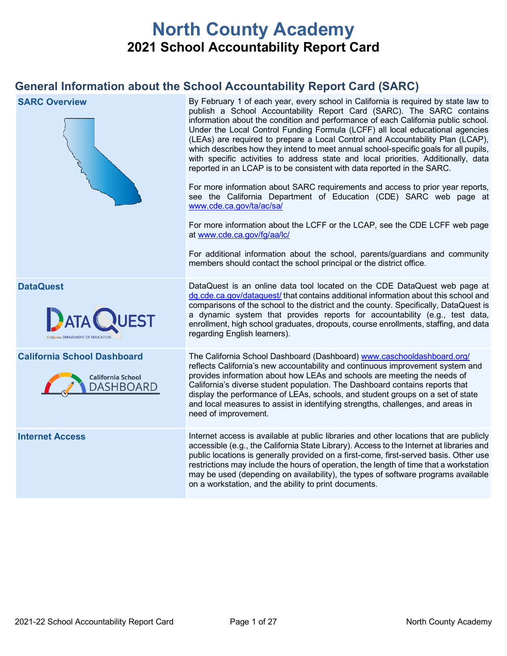# **North County Academy 2021 School Accountability Report Card**

## **General Information about the School Accountability Report Card (SARC)**

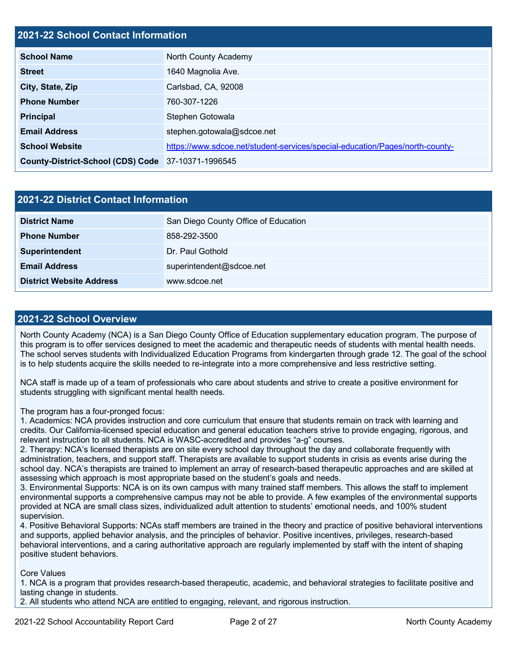## **2021-22 School Contact Information**

| <b>School Name</b>                                 | North County Academy                                                         |
|----------------------------------------------------|------------------------------------------------------------------------------|
| <b>Street</b>                                      | 1640 Magnolia Ave.                                                           |
| City, State, Zip                                   | Carlsbad, CA, 92008                                                          |
| <b>Phone Number</b>                                | 760-307-1226                                                                 |
| <b>Principal</b>                                   | Stephen Gotowala                                                             |
| <b>Email Address</b>                               | stephen.gotowala@sdcoe.net                                                   |
| <b>School Website</b>                              | https://www.sdcoe.net/student-services/special-education/Pages/north-county- |
| County-District-School (CDS) Code 37-10371-1996545 |                                                                              |

| 2021-22 District Contact Information |                                      |  |
|--------------------------------------|--------------------------------------|--|
| <b>District Name</b>                 | San Diego County Office of Education |  |
| <b>Phone Number</b>                  | 858-292-3500                         |  |
| <b>Superintendent</b>                | Dr. Paul Gothold                     |  |
| <b>Email Address</b>                 | superintendent@sdcoe.net             |  |
| <b>District Website Address</b>      | www.sdcoe.net                        |  |

#### **2021-22 School Overview**

North County Academy (NCA) is a San Diego County Office of Education supplementary education program. The purpose of this program is to offer services designed to meet the academic and therapeutic needs of students with mental health needs. The school serves students with Individualized Education Programs from kindergarten through grade 12. The goal of the school is to help students acquire the skills needed to re-integrate into a more comprehensive and less restrictive setting.

NCA staff is made up of a team of professionals who care about students and strive to create a positive environment for students struggling with significant mental health needs.

The program has a four-pronged focus:

1. Academics: NCA provides instruction and core curriculum that ensure that students remain on track with learning and credits. Our California-licensed special education and general education teachers strive to provide engaging, rigorous, and relevant instruction to all students. NCA is WASC-accredited and provides "a-g" courses.

2. Therapy: NCA's licensed therapists are on site every school day throughout the day and collaborate frequently with administration, teachers, and support staff. Therapists are available to support students in crisis as events arise during the school day. NCA's therapists are trained to implement an array of research-based therapeutic approaches and are skilled at assessing which approach is most appropriate based on the student's goals and needs.

3. Environmental Supports: NCA is on its own campus with many trained staff members. This allows the staff to implement environmental supports a comprehensive campus may not be able to provide. A few examples of the environmental supports provided at NCA are small class sizes, individualized adult attention to students' emotional needs, and 100% student supervision.

4. Positive Behavioral Supports: NCAs staff members are trained in the theory and practice of positive behavioral interventions and supports, applied behavior analysis, and the principles of behavior. Positive incentives, privileges, research-based behavioral interventions, and a caring authoritative approach are regularly implemented by staff with the intent of shaping positive student behaviors.

Core Values

1. NCA is a program that provides research-based therapeutic, academic, and behavioral strategies to facilitate positive and lasting change in students.

2. All students who attend NCA are entitled to engaging, relevant, and rigorous instruction.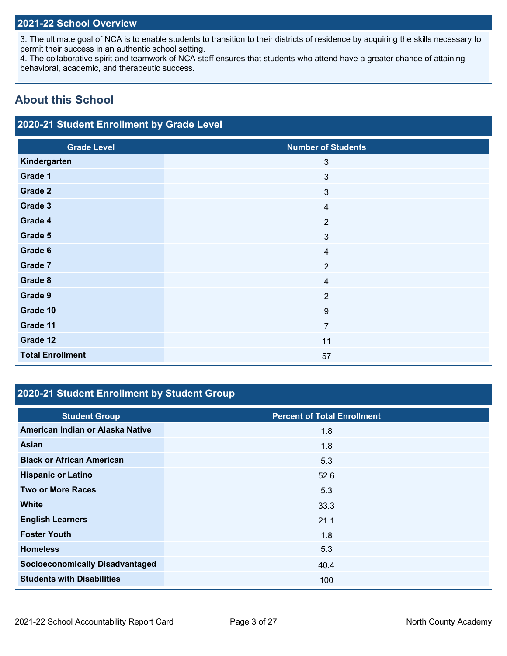## **2021-22 School Overview**

3. The ultimate goal of NCA is to enable students to transition to their districts of residence by acquiring the skills necessary to permit their success in an authentic school setting.

4. The collaborative spirit and teamwork of NCA staff ensures that students who attend have a greater chance of attaining behavioral, academic, and therapeutic success.

## **About this School**

## **2020-21 Student Enrollment by Grade Level**

| <b>Grade Level</b>      | <b>Number of Students</b> |
|-------------------------|---------------------------|
| Kindergarten            | $\mathfrak{3}$            |
| Grade 1                 | $\mathbf{3}$              |
| Grade 2                 | $\mathbf{3}$              |
| Grade 3                 | $\overline{4}$            |
| Grade 4                 | $\overline{2}$            |
| Grade 5                 | $\sqrt{3}$                |
| Grade 6                 | $\overline{4}$            |
| Grade 7                 | $\overline{2}$            |
| Grade 8                 | $\overline{4}$            |
| Grade 9                 | $\overline{2}$            |
| Grade 10                | $\boldsymbol{9}$          |
| Grade 11                | $\overline{7}$            |
| Grade 12                | 11                        |
| <b>Total Enrollment</b> | 57                        |

## **2020-21 Student Enrollment by Student Group**

| <b>Student Group</b>                   | <b>Percent of Total Enrollment</b> |
|----------------------------------------|------------------------------------|
| American Indian or Alaska Native       | 1.8                                |
| Asian                                  | 1.8                                |
| <b>Black or African American</b>       | 5.3                                |
| <b>Hispanic or Latino</b>              | 52.6                               |
| <b>Two or More Races</b>               | 5.3                                |
| <b>White</b>                           | 33.3                               |
| <b>English Learners</b>                | 21.1                               |
| <b>Foster Youth</b>                    | 1.8                                |
| <b>Homeless</b>                        | 5.3                                |
| <b>Socioeconomically Disadvantaged</b> | 40.4                               |
| <b>Students with Disabilities</b>      | 100                                |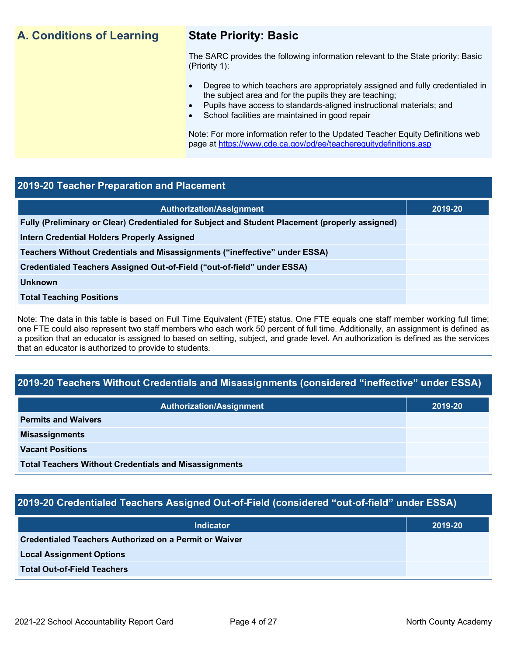## **A. Conditions of Learning State Priority: Basic**

The SARC provides the following information relevant to the State priority: Basic (Priority 1):

- Degree to which teachers are appropriately assigned and fully credentialed in the subject area and for the pupils they are teaching;
	- Pupils have access to standards-aligned instructional materials; and
- School facilities are maintained in good repair

Note: For more information refer to the Updated Teacher Equity Definitions web page at<https://www.cde.ca.gov/pd/ee/teacherequitydefinitions.asp>

### **2019-20 Teacher Preparation and Placement**

| <b>Authorization/Assignment</b>                                                                 | 2019-20 |
|-------------------------------------------------------------------------------------------------|---------|
| Fully (Preliminary or Clear) Credentialed for Subject and Student Placement (properly assigned) |         |
| <b>Intern Credential Holders Properly Assigned</b>                                              |         |
| Teachers Without Credentials and Misassignments ("ineffective" under ESSA)                      |         |
| Credentialed Teachers Assigned Out-of-Field ("out-of-field" under ESSA)                         |         |
| <b>Unknown</b>                                                                                  |         |
| <b>Total Teaching Positions</b>                                                                 |         |
|                                                                                                 |         |

Note: The data in this table is based on Full Time Equivalent (FTE) status. One FTE equals one staff member working full time; one FTE could also represent two staff members who each work 50 percent of full time. Additionally, an assignment is defined as a position that an educator is assigned to based on setting, subject, and grade level. An authorization is defined as the services that an educator is authorized to provide to students.

## **2019-20 Teachers Without Credentials and Misassignments (considered "ineffective" under ESSA)**

| Authorization/Assignment                                     | 2019-20 |  |
|--------------------------------------------------------------|---------|--|
| <b>Permits and Waivers</b>                                   |         |  |
| <b>Misassignments</b>                                        |         |  |
| <b>Vacant Positions</b>                                      |         |  |
| <b>Total Teachers Without Credentials and Misassignments</b> |         |  |

## **2019-20 Credentialed Teachers Assigned Out-of-Field (considered "out-of-field" under ESSA)**

| <b>Indicator</b>                                       | 2019-20 |
|--------------------------------------------------------|---------|
| Credentialed Teachers Authorized on a Permit or Waiver |         |
| <b>Local Assignment Options</b>                        |         |
| <b>Total Out-of-Field Teachers</b>                     |         |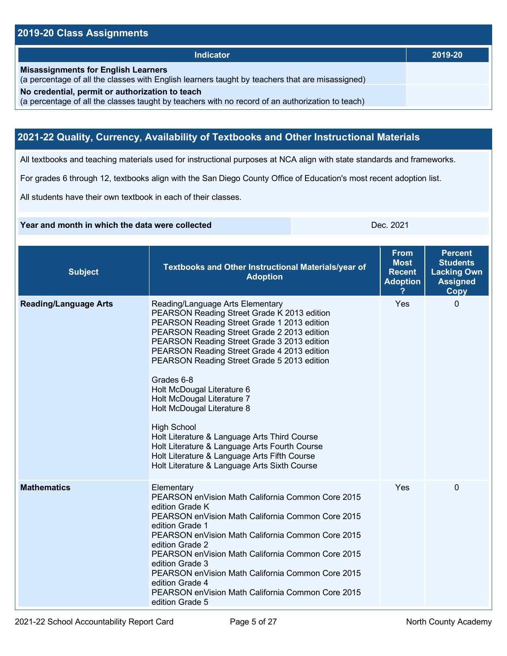## **2019-20 Class Assignments**

| Indicator                                                                                                                                           | 2019-20 |
|-----------------------------------------------------------------------------------------------------------------------------------------------------|---------|
| <b>Misassignments for English Learners</b><br>(a percentage of all the classes with English learners taught by teachers that are misassigned)       |         |
| No credential, permit or authorization to teach<br>(a percentage of all the classes taught by teachers with no record of an authorization to teach) |         |

## **2021-22 Quality, Currency, Availability of Textbooks and Other Instructional Materials**

All textbooks and teaching materials used for instructional purposes at NCA align with state standards and frameworks.

For grades 6 through 12, textbooks align with the San Diego County Office of Education's most recent adoption list.

All students have their own textbook in each of their classes.

#### **Year and month in which the data were collected Dec. 2021 Dec. 2021**

| <b>Subject</b>               | Textbooks and Other Instructional Materials/year of<br><b>Adoption</b>                                                                                                                                                                                                                                                                                                                                                                                                                                                                                                                                                                                    | <b>From</b><br><b>Most</b><br><b>Recent</b><br><b>Adoption</b> | <b>Percent</b><br><b>Students</b><br><b>Lacking Own</b><br><b>Assigned</b><br><b>Copy</b> |
|------------------------------|-----------------------------------------------------------------------------------------------------------------------------------------------------------------------------------------------------------------------------------------------------------------------------------------------------------------------------------------------------------------------------------------------------------------------------------------------------------------------------------------------------------------------------------------------------------------------------------------------------------------------------------------------------------|----------------------------------------------------------------|-------------------------------------------------------------------------------------------|
| <b>Reading/Language Arts</b> | Reading/Language Arts Elementary<br>PEARSON Reading Street Grade K 2013 edition<br>PEARSON Reading Street Grade 1 2013 edition<br>PEARSON Reading Street Grade 2 2013 edition<br>PEARSON Reading Street Grade 3 2013 edition<br>PEARSON Reading Street Grade 4 2013 edition<br>PEARSON Reading Street Grade 5 2013 edition<br>Grades 6-8<br>Holt McDougal Literature 6<br>Holt McDougal Literature 7<br>Holt McDougal Literature 8<br><b>High School</b><br>Holt Literature & Language Arts Third Course<br>Holt Literature & Language Arts Fourth Course<br>Holt Literature & Language Arts Fifth Course<br>Holt Literature & Language Arts Sixth Course | Yes                                                            | $\mathbf{0}$                                                                              |
| <b>Mathematics</b>           | Elementary<br>PEARSON en Vision Math California Common Core 2015<br>edition Grade K<br>PEARSON en Vision Math California Common Core 2015<br>edition Grade 1<br>PEARSON en Vision Math California Common Core 2015<br>edition Grade 2<br>PEARSON en Vision Math California Common Core 2015<br>edition Grade 3<br>PEARSON enVision Math California Common Core 2015<br>edition Grade 4<br>PEARSON en Vision Math California Common Core 2015<br>edition Grade 5                                                                                                                                                                                           | Yes                                                            | 0                                                                                         |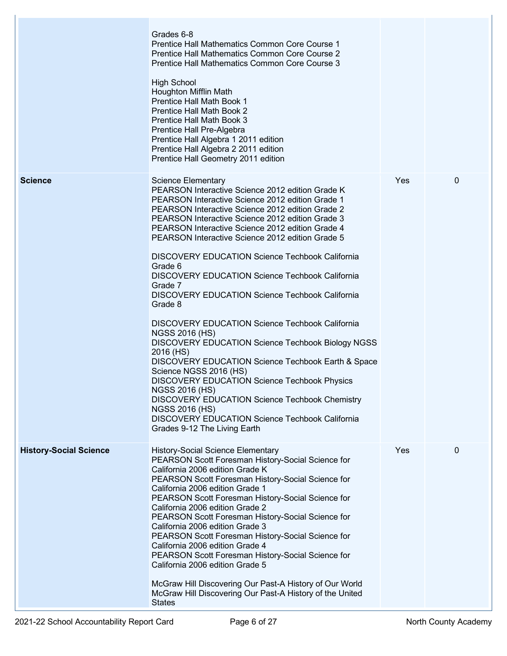|                               | Grades 6-8<br><b>Prentice Hall Mathematics Common Core Course 1</b><br>Prentice Hall Mathematics Common Core Course 2<br>Prentice Hall Mathematics Common Core Course 3<br><b>High School</b><br>Houghton Mifflin Math                                                                                                                                                                                                                                                                                                                                                                                                                                                                                                                                                                                                                                                                                                                                                                                                                                                                                |     |             |
|-------------------------------|-------------------------------------------------------------------------------------------------------------------------------------------------------------------------------------------------------------------------------------------------------------------------------------------------------------------------------------------------------------------------------------------------------------------------------------------------------------------------------------------------------------------------------------------------------------------------------------------------------------------------------------------------------------------------------------------------------------------------------------------------------------------------------------------------------------------------------------------------------------------------------------------------------------------------------------------------------------------------------------------------------------------------------------------------------------------------------------------------------|-----|-------------|
|                               | <b>Prentice Hall Math Book 1</b><br>Prentice Hall Math Book 2<br>Prentice Hall Math Book 3<br>Prentice Hall Pre-Algebra<br>Prentice Hall Algebra 1 2011 edition<br>Prentice Hall Algebra 2 2011 edition<br>Prentice Hall Geometry 2011 edition                                                                                                                                                                                                                                                                                                                                                                                                                                                                                                                                                                                                                                                                                                                                                                                                                                                        |     |             |
| <b>Science</b>                | <b>Science Elementary</b><br>PEARSON Interactive Science 2012 edition Grade K.<br><b>PEARSON Interactive Science 2012 edition Grade 1</b><br><b>PEARSON Interactive Science 2012 edition Grade 2</b><br>PEARSON Interactive Science 2012 edition Grade 3<br><b>PEARSON Interactive Science 2012 edition Grade 4</b><br><b>PEARSON Interactive Science 2012 edition Grade 5</b><br><b>DISCOVERY EDUCATION Science Techbook California</b><br>Grade 6<br><b>DISCOVERY EDUCATION Science Techbook California</b><br>Grade 7<br><b>DISCOVERY EDUCATION Science Techbook California</b><br>Grade 8<br><b>DISCOVERY EDUCATION Science Techbook California</b><br><b>NGSS 2016 (HS)</b><br><b>DISCOVERY EDUCATION Science Techbook Biology NGSS</b><br>2016 (HS)<br>DISCOVERY EDUCATION Science Techbook Earth & Space<br>Science NGSS 2016 (HS)<br><b>DISCOVERY EDUCATION Science Techbook Physics</b><br><b>NGSS 2016 (HS)</b><br><b>DISCOVERY EDUCATION Science Techbook Chemistry</b><br><b>NGSS 2016 (HS)</b><br><b>DISCOVERY EDUCATION Science Techbook California</b><br>Grades 9-12 The Living Earth | Yes | $\mathbf 0$ |
| <b>History-Social Science</b> | <b>History-Social Science Elementary</b><br>PEARSON Scott Foresman History-Social Science for<br>California 2006 edition Grade K<br>PEARSON Scott Foresman History-Social Science for<br>California 2006 edition Grade 1<br>PEARSON Scott Foresman History-Social Science for<br>California 2006 edition Grade 2<br>PEARSON Scott Foresman History-Social Science for<br>California 2006 edition Grade 3<br>PEARSON Scott Foresman History-Social Science for<br>California 2006 edition Grade 4<br>PEARSON Scott Foresman History-Social Science for<br>California 2006 edition Grade 5<br>McGraw Hill Discovering Our Past-A History of Our World<br>McGraw Hill Discovering Our Past-A History of the United<br><b>States</b>                                                                                                                                                                                                                                                                                                                                                                      | Yes | 0           |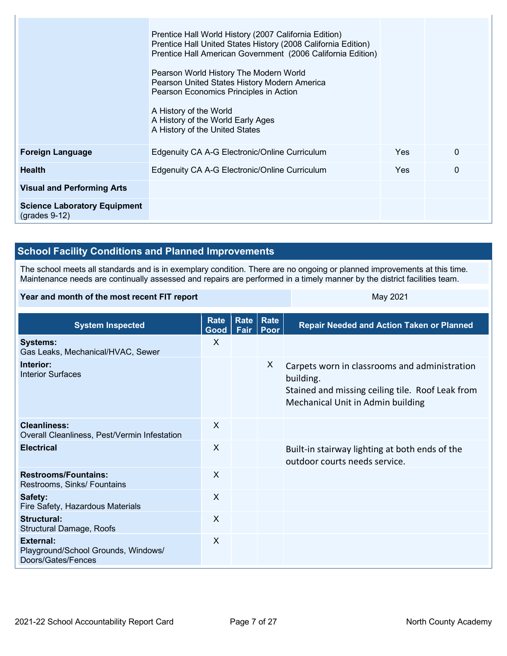|                                                        | Prentice Hall World History (2007 California Edition)<br>Prentice Hall United States History (2008 California Edition)<br>Prentice Hall American Government (2006 California Edition)<br>Pearson World History The Modern World<br>Pearson United States History Modern America<br>Pearson Economics Principles in Action<br>A History of the World<br>A History of the World Early Ages<br>A History of the United States |            |          |
|--------------------------------------------------------|----------------------------------------------------------------------------------------------------------------------------------------------------------------------------------------------------------------------------------------------------------------------------------------------------------------------------------------------------------------------------------------------------------------------------|------------|----------|
| <b>Foreign Language</b>                                | Edgenuity CA A-G Electronic/Online Curriculum                                                                                                                                                                                                                                                                                                                                                                              | Yes        | $\Omega$ |
| <b>Health</b>                                          | Edgenuity CA A-G Electronic/Online Curriculum                                                                                                                                                                                                                                                                                                                                                                              | <b>Yes</b> | $\Omega$ |
| <b>Visual and Performing Arts</b>                      |                                                                                                                                                                                                                                                                                                                                                                                                                            |            |          |
| <b>Science Laboratory Equipment</b><br>$(grades 9-12)$ |                                                                                                                                                                                                                                                                                                                                                                                                                            |            |          |

## **School Facility Conditions and Planned Improvements**

The school meets all standards and is in exemplary condition. There are no ongoing or planned improvements at this time. Maintenance needs are continually assessed and repairs are performed in a timely manner by the district facilities team.

#### **Year and month of the most recent FIT report** May 2021

| <b>System Inspected</b>                                                       | Rate<br>Good   Fair | Rate | Rate<br>Poor | <b>Repair Needed and Action Taken or Planned</b>                                                                                                    |
|-------------------------------------------------------------------------------|---------------------|------|--------------|-----------------------------------------------------------------------------------------------------------------------------------------------------|
| <b>Systems:</b><br>Gas Leaks, Mechanical/HVAC, Sewer                          | X                   |      |              |                                                                                                                                                     |
| Interior:<br><b>Interior Surfaces</b>                                         |                     |      | X            | Carpets worn in classrooms and administration<br>building.<br>Stained and missing ceiling tile. Roof Leak from<br>Mechanical Unit in Admin building |
| Cleanliness:<br>Overall Cleanliness, Pest/Vermin Infestation                  | X                   |      |              |                                                                                                                                                     |
| <b>Electrical</b>                                                             | $\times$            |      |              | Built-in stairway lighting at both ends of the<br>outdoor courts needs service.                                                                     |
| <b>Restrooms/Fountains:</b><br>Restrooms, Sinks/ Fountains                    | X                   |      |              |                                                                                                                                                     |
| Safety:<br>Fire Safety, Hazardous Materials                                   | $\times$            |      |              |                                                                                                                                                     |
| Structural:<br><b>Structural Damage, Roofs</b>                                | X                   |      |              |                                                                                                                                                     |
| <b>External:</b><br>Playground/School Grounds, Windows/<br>Doors/Gates/Fences | X                   |      |              |                                                                                                                                                     |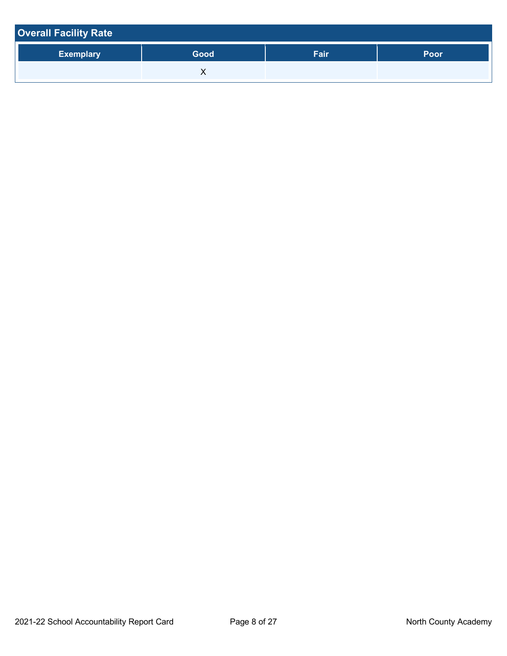| <b>Overall Facility Rate</b> |      |      |      |
|------------------------------|------|------|------|
| <b>Exemplary</b>             | Good | Fair | Poor |
|                              |      |      |      |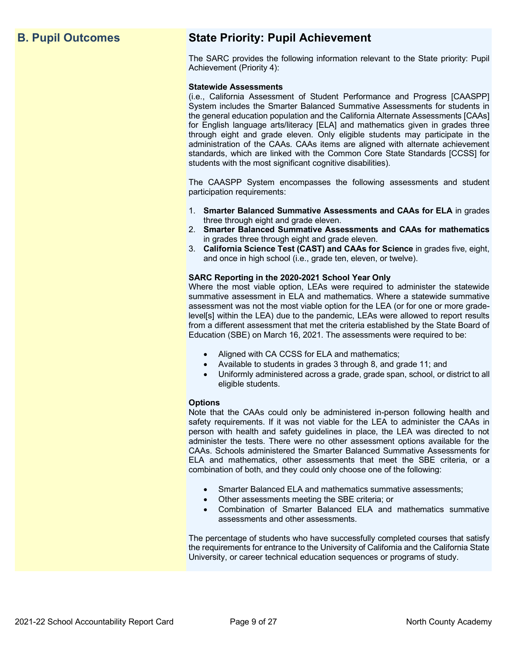## **B. Pupil Outcomes State Priority: Pupil Achievement**

The SARC provides the following information relevant to the State priority: Pupil Achievement (Priority 4):

#### **Statewide Assessments**

(i.e., California Assessment of Student Performance and Progress [CAASPP] System includes the Smarter Balanced Summative Assessments for students in the general education population and the California Alternate Assessments [CAAs] for English language arts/literacy [ELA] and mathematics given in grades three through eight and grade eleven. Only eligible students may participate in the administration of the CAAs. CAAs items are aligned with alternate achievement standards, which are linked with the Common Core State Standards [CCSS] for students with the most significant cognitive disabilities).

The CAASPP System encompasses the following assessments and student participation requirements:

- 1. **Smarter Balanced Summative Assessments and CAAs for ELA** in grades three through eight and grade eleven.
- 2. **Smarter Balanced Summative Assessments and CAAs for mathematics** in grades three through eight and grade eleven.
- 3. **California Science Test (CAST) and CAAs for Science** in grades five, eight, and once in high school (i.e., grade ten, eleven, or twelve).

#### **SARC Reporting in the 2020-2021 School Year Only**

Where the most viable option, LEAs were required to administer the statewide summative assessment in ELA and mathematics. Where a statewide summative assessment was not the most viable option for the LEA (or for one or more gradelevel[s] within the LEA) due to the pandemic, LEAs were allowed to report results from a different assessment that met the criteria established by the State Board of Education (SBE) on March 16, 2021. The assessments were required to be:

- Aligned with CA CCSS for ELA and mathematics;
- Available to students in grades 3 through 8, and grade 11; and
- Uniformly administered across a grade, grade span, school, or district to all eligible students.

#### **Options**

Note that the CAAs could only be administered in-person following health and safety requirements. If it was not viable for the LEA to administer the CAAs in person with health and safety guidelines in place, the LEA was directed to not administer the tests. There were no other assessment options available for the CAAs. Schools administered the Smarter Balanced Summative Assessments for ELA and mathematics, other assessments that meet the SBE criteria, or a combination of both, and they could only choose one of the following:

- Smarter Balanced ELA and mathematics summative assessments;
- Other assessments meeting the SBE criteria; or
- Combination of Smarter Balanced ELA and mathematics summative assessments and other assessments.

The percentage of students who have successfully completed courses that satisfy the requirements for entrance to the University of California and the California State University, or career technical education sequences or programs of study.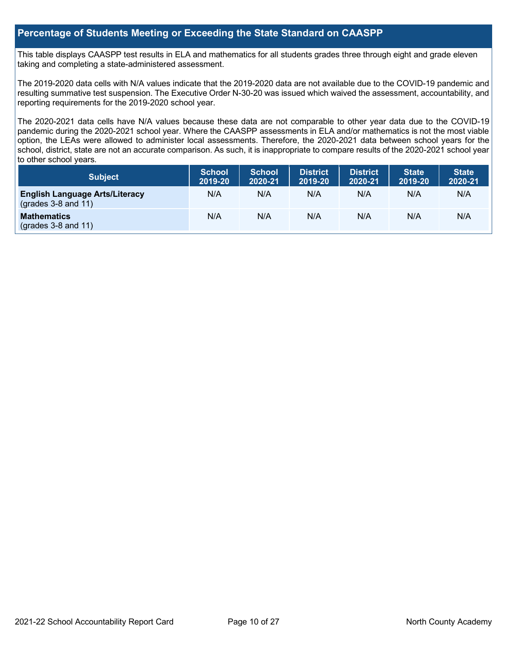## **Percentage of Students Meeting or Exceeding the State Standard on CAASPP**

This table displays CAASPP test results in ELA and mathematics for all students grades three through eight and grade eleven taking and completing a state-administered assessment.

The 2019-2020 data cells with N/A values indicate that the 2019-2020 data are not available due to the COVID-19 pandemic and resulting summative test suspension. The Executive Order N-30-20 was issued which waived the assessment, accountability, and reporting requirements for the 2019-2020 school year.

The 2020-2021 data cells have N/A values because these data are not comparable to other year data due to the COVID-19 pandemic during the 2020-2021 school year. Where the CAASPP assessments in ELA and/or mathematics is not the most viable option, the LEAs were allowed to administer local assessments. Therefore, the 2020-2021 data between school years for the school, district, state are not an accurate comparison. As such, it is inappropriate to compare results of the 2020-2021 school year to other school years.

| Subject                                                        | <b>School</b><br>2019-20 | <b>School</b><br>2020-21 | <b>District</b><br>2019-20 | <b>District</b><br>2020-21 | <b>State</b><br>2019-20 | <b>State</b><br>2020-21 |
|----------------------------------------------------------------|--------------------------|--------------------------|----------------------------|----------------------------|-------------------------|-------------------------|
| <b>English Language Arts/Literacy</b><br>$(grades 3-8 and 11)$ | N/A                      | N/A                      | N/A                        | N/A                        | N/A                     | N/A                     |
| <b>Mathematics</b><br>$(grades 3-8 and 11)$                    | N/A                      | N/A                      | N/A                        | N/A                        | N/A                     | N/A                     |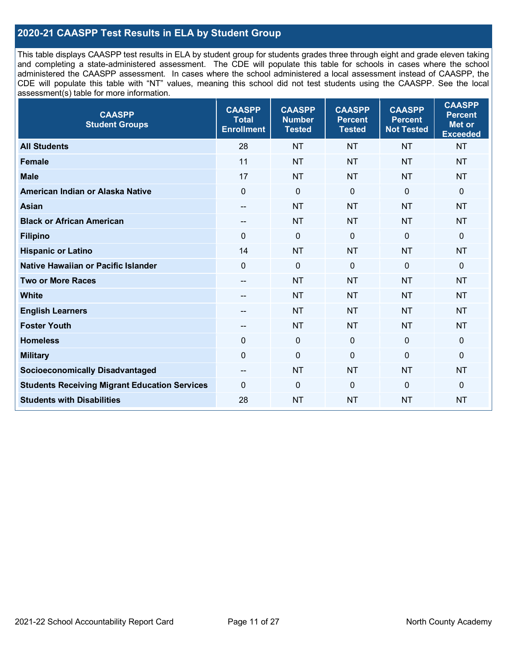## **2020-21 CAASPP Test Results in ELA by Student Group**

This table displays CAASPP test results in ELA by student group for students grades three through eight and grade eleven taking and completing a state-administered assessment. The CDE will populate this table for schools in cases where the school administered the CAASPP assessment. In cases where the school administered a local assessment instead of CAASPP, the CDE will populate this table with "NT" values, meaning this school did not test students using the CAASPP. See the local assessment(s) table for more information.

| <b>CAASPP</b><br><b>Student Groups</b>               | <b>CAASPP</b><br><b>Total</b><br><b>Enrollment</b> | <b>CAASPP</b><br><b>Number</b><br><b>Tested</b> | <b>CAASPP</b><br><b>Percent</b><br><b>Tested</b> | <b>CAASPP</b><br><b>Percent</b><br><b>Not Tested</b> | <b>CAASPP</b><br><b>Percent</b><br><b>Met or</b><br><b>Exceeded</b> |
|------------------------------------------------------|----------------------------------------------------|-------------------------------------------------|--------------------------------------------------|------------------------------------------------------|---------------------------------------------------------------------|
| <b>All Students</b>                                  | 28                                                 | <b>NT</b>                                       | <b>NT</b>                                        | <b>NT</b>                                            | <b>NT</b>                                                           |
| <b>Female</b>                                        | 11                                                 | <b>NT</b>                                       | <b>NT</b>                                        | <b>NT</b>                                            | <b>NT</b>                                                           |
| <b>Male</b>                                          | 17                                                 | <b>NT</b>                                       | <b>NT</b>                                        | <b>NT</b>                                            | <b>NT</b>                                                           |
| American Indian or Alaska Native                     | $\mathbf 0$                                        | $\mathbf 0$                                     | $\mathbf 0$                                      | $\overline{0}$                                       | $\mathbf 0$                                                         |
| <b>Asian</b>                                         |                                                    | <b>NT</b>                                       | <b>NT</b>                                        | <b>NT</b>                                            | <b>NT</b>                                                           |
| <b>Black or African American</b>                     | $\overline{\phantom{a}}$                           | <b>NT</b>                                       | <b>NT</b>                                        | <b>NT</b>                                            | <b>NT</b>                                                           |
| <b>Filipino</b>                                      | $\mathbf{0}$                                       | $\mathbf 0$                                     | $\Omega$                                         | $\mathbf{0}$                                         | $\mathbf{0}$                                                        |
| <b>Hispanic or Latino</b>                            | 14                                                 | <b>NT</b>                                       | <b>NT</b>                                        | <b>NT</b>                                            | <b>NT</b>                                                           |
| Native Hawaiian or Pacific Islander                  | $\mathbf{0}$                                       | $\mathbf 0$                                     | $\mathbf 0$                                      | $\overline{0}$                                       | $\mathbf 0$                                                         |
| <b>Two or More Races</b>                             | $\overline{a}$                                     | <b>NT</b>                                       | <b>NT</b>                                        | <b>NT</b>                                            | <b>NT</b>                                                           |
| <b>White</b>                                         | $\overline{\phantom{a}}$                           | <b>NT</b>                                       | <b>NT</b>                                        | <b>NT</b>                                            | <b>NT</b>                                                           |
| <b>English Learners</b>                              |                                                    | <b>NT</b>                                       | <b>NT</b>                                        | <b>NT</b>                                            | <b>NT</b>                                                           |
| <b>Foster Youth</b>                                  |                                                    | <b>NT</b>                                       | <b>NT</b>                                        | <b>NT</b>                                            | <b>NT</b>                                                           |
| <b>Homeless</b>                                      | $\mathbf 0$                                        | $\mathbf 0$                                     | $\mathbf 0$                                      | $\overline{0}$                                       | $\mathbf 0$                                                         |
| <b>Military</b>                                      | $\mathbf 0$                                        | $\pmb{0}$                                       | $\mathbf 0$                                      | $\mathbf 0$                                          | $\mathbf 0$                                                         |
| <b>Socioeconomically Disadvantaged</b>               | $\hspace{0.05cm}$                                  | <b>NT</b>                                       | <b>NT</b>                                        | <b>NT</b>                                            | <b>NT</b>                                                           |
| <b>Students Receiving Migrant Education Services</b> | $\mathbf{0}$                                       | $\mathbf 0$                                     | $\mathbf{0}$                                     | $\mathbf 0$                                          | $\mathbf{0}$                                                        |
| <b>Students with Disabilities</b>                    | 28                                                 | <b>NT</b>                                       | <b>NT</b>                                        | <b>NT</b>                                            | <b>NT</b>                                                           |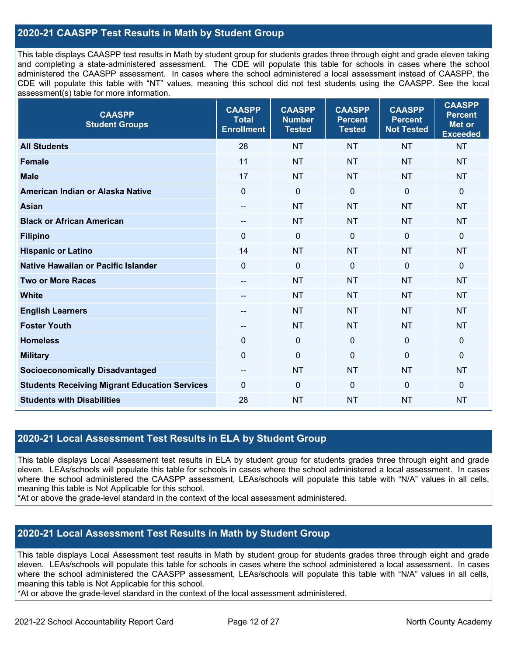## **2020-21 CAASPP Test Results in Math by Student Group**

This table displays CAASPP test results in Math by student group for students grades three through eight and grade eleven taking and completing a state-administered assessment. The CDE will populate this table for schools in cases where the school administered the CAASPP assessment. In cases where the school administered a local assessment instead of CAASPP, the CDE will populate this table with "NT" values, meaning this school did not test students using the CAASPP. See the local assessment(s) table for more information.

| <b>CAASPP</b><br><b>Student Groups</b>               | <b>CAASPP</b><br><b>Total</b><br><b>Enrollment</b> | <b>CAASPP</b><br><b>Number</b><br><b>Tested</b> | <b>CAASPP</b><br><b>Percent</b><br><b>Tested</b> | <b>CAASPP</b><br><b>Percent</b><br><b>Not Tested</b> | <b>CAASPP</b><br><b>Percent</b><br><b>Met or</b><br><b>Exceeded</b> |
|------------------------------------------------------|----------------------------------------------------|-------------------------------------------------|--------------------------------------------------|------------------------------------------------------|---------------------------------------------------------------------|
| <b>All Students</b>                                  | 28                                                 | <b>NT</b>                                       | <b>NT</b>                                        | <b>NT</b>                                            | <b>NT</b>                                                           |
| <b>Female</b>                                        | 11                                                 | <b>NT</b>                                       | <b>NT</b>                                        | <b>NT</b>                                            | <b>NT</b>                                                           |
| <b>Male</b>                                          | 17                                                 | <b>NT</b>                                       | <b>NT</b>                                        | <b>NT</b>                                            | <b>NT</b>                                                           |
| American Indian or Alaska Native                     | $\overline{0}$                                     | $\pmb{0}$                                       | $\mathbf 0$                                      | $\overline{0}$                                       | $\mathbf 0$                                                         |
| <b>Asian</b>                                         | $\overline{\phantom{a}}$                           | <b>NT</b>                                       | <b>NT</b>                                        | <b>NT</b>                                            | <b>NT</b>                                                           |
| <b>Black or African American</b>                     | $\overline{\phantom{m}}$                           | <b>NT</b>                                       | <b>NT</b>                                        | <b>NT</b>                                            | <b>NT</b>                                                           |
| <b>Filipino</b>                                      | $\mathbf{0}$                                       | $\mathbf 0$                                     | $\mathbf{0}$                                     | $\mathbf 0$                                          | $\mathbf 0$                                                         |
| <b>Hispanic or Latino</b>                            | 14                                                 | <b>NT</b>                                       | <b>NT</b>                                        | <b>NT</b>                                            | <b>NT</b>                                                           |
| Native Hawaiian or Pacific Islander                  | $\mathbf{0}$                                       | $\mathbf 0$                                     | $\mathbf{0}$                                     | $\mathbf 0$                                          | $\mathbf 0$                                                         |
| <b>Two or More Races</b>                             | $\overline{\phantom{a}}$                           | <b>NT</b>                                       | <b>NT</b>                                        | <b>NT</b>                                            | <b>NT</b>                                                           |
| <b>White</b>                                         | $\overline{\phantom{a}}$                           | <b>NT</b>                                       | <b>NT</b>                                        | <b>NT</b>                                            | <b>NT</b>                                                           |
| <b>English Learners</b>                              |                                                    | <b>NT</b>                                       | <b>NT</b>                                        | <b>NT</b>                                            | <b>NT</b>                                                           |
| <b>Foster Youth</b>                                  |                                                    | <b>NT</b>                                       | <b>NT</b>                                        | <b>NT</b>                                            | <b>NT</b>                                                           |
| <b>Homeless</b>                                      | $\mathbf 0$                                        | $\mathbf 0$                                     | $\mathbf 0$                                      | $\mathbf 0$                                          | 0                                                                   |
| <b>Military</b>                                      | $\mathbf 0$                                        | $\pmb{0}$                                       | $\mathbf 0$                                      | $\overline{0}$                                       | $\mathbf 0$                                                         |
| <b>Socioeconomically Disadvantaged</b>               | $\overline{\phantom{a}}$                           | <b>NT</b>                                       | <b>NT</b>                                        | <b>NT</b>                                            | <b>NT</b>                                                           |
| <b>Students Receiving Migrant Education Services</b> | $\mathbf{0}$                                       | $\mathbf 0$                                     | $\mathbf{0}$                                     | $\mathbf 0$                                          | $\mathbf 0$                                                         |
| <b>Students with Disabilities</b>                    | 28                                                 | <b>NT</b>                                       | <b>NT</b>                                        | <b>NT</b>                                            | <b>NT</b>                                                           |

#### **2020-21 Local Assessment Test Results in ELA by Student Group**

This table displays Local Assessment test results in ELA by student group for students grades three through eight and grade eleven. LEAs/schools will populate this table for schools in cases where the school administered a local assessment. In cases where the school administered the CAASPP assessment, LEAs/schools will populate this table with "N/A" values in all cells, meaning this table is Not Applicable for this school.

\*At or above the grade-level standard in the context of the local assessment administered.

## **2020-21 Local Assessment Test Results in Math by Student Group**

This table displays Local Assessment test results in Math by student group for students grades three through eight and grade eleven. LEAs/schools will populate this table for schools in cases where the school administered a local assessment. In cases where the school administered the CAASPP assessment, LEAs/schools will populate this table with "N/A" values in all cells, meaning this table is Not Applicable for this school.

\*At or above the grade-level standard in the context of the local assessment administered.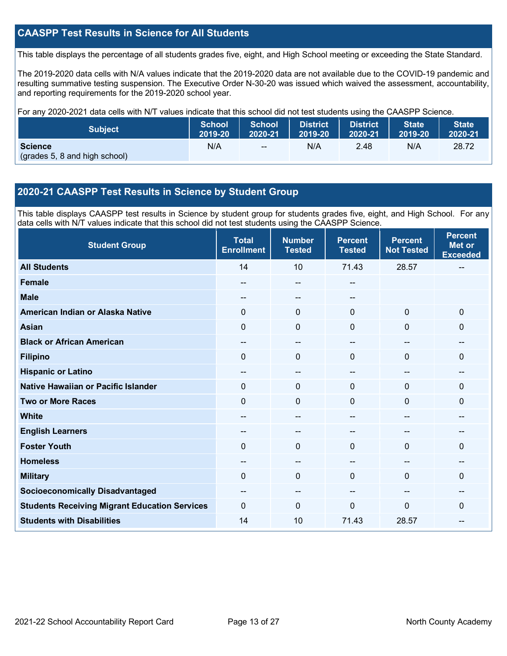## **CAASPP Test Results in Science for All Students**

This table displays the percentage of all students grades five, eight, and High School meeting or exceeding the State Standard.

The 2019-2020 data cells with N/A values indicate that the 2019-2020 data are not available due to the COVID-19 pandemic and resulting summative testing suspension. The Executive Order N-30-20 was issued which waived the assessment, accountability, and reporting requirements for the 2019-2020 school year.

For any 2020-2021 data cells with N/T values indicate that this school did not test students using the CAASPP Science.

| <b>Subject</b>                                  | <b>School</b> | <b>School</b> | <b>District</b> | District | State   | <b>State</b> |
|-------------------------------------------------|---------------|---------------|-----------------|----------|---------|--------------|
|                                                 | 2019-20       | 2020-21       | 2019-20         | 2020-21  | 2019-20 | 2020-21      |
| <b>Science</b><br>(grades 5, 8 and high school) | N/A           | $\sim$ $\sim$ | N/A             | 2.48     | N/A     | 28.72        |

### **2020-21 CAASPP Test Results in Science by Student Group**

This table displays CAASPP test results in Science by student group for students grades five, eight, and High School. For any data cells with N/T values indicate that this school did not test students using the CAASPP Science.

| <b>Student Group</b>                                 | <b>Total</b><br><b>Enrollment</b> | <b>Number</b><br><b>Tested</b> | <b>Percent</b><br><b>Tested</b> | <b>Percent</b><br><b>Not Tested</b>   | <b>Percent</b><br><b>Met or</b><br><b>Exceeded</b> |
|------------------------------------------------------|-----------------------------------|--------------------------------|---------------------------------|---------------------------------------|----------------------------------------------------|
| <b>All Students</b>                                  | 14                                | 10                             | 71.43                           | 28.57                                 |                                                    |
| <b>Female</b>                                        | --                                | --                             | --                              |                                       |                                                    |
| <b>Male</b>                                          |                                   | --                             | --                              |                                       |                                                    |
| American Indian or Alaska Native                     | $\Omega$                          | $\mathbf{0}$                   | $\mathbf{0}$                    | $\mathbf 0$                           | $\mathbf 0$                                        |
| <b>Asian</b>                                         | 0                                 | $\pmb{0}$                      | $\mathbf 0$                     | $\mathbf 0$                           | $\Omega$                                           |
| <b>Black or African American</b>                     | --                                | --                             |                                 | --                                    | --                                                 |
| <b>Filipino</b>                                      | $\Omega$                          | $\Omega$                       | $\mathbf{0}$                    | $\mathbf 0$                           | $\mathbf{0}$                                       |
| <b>Hispanic or Latino</b>                            | --                                | $\overline{\phantom{a}}$       | --                              | $\hspace{0.05cm}$ – $\hspace{0.05cm}$ | $\qquad \qquad$                                    |
| Native Hawaiian or Pacific Islander                  | $\Omega$                          | $\mathbf 0$                    | $\Omega$                        | $\mathbf{0}$                          | $\Omega$                                           |
| <b>Two or More Races</b>                             | 0                                 | $\mathbf 0$                    | $\mathbf{0}$                    | $\Omega$                              | 0                                                  |
| <b>White</b>                                         |                                   | --                             | --                              | --                                    | --                                                 |
| <b>English Learners</b>                              |                                   | --                             |                                 |                                       |                                                    |
| <b>Foster Youth</b>                                  | $\Omega$                          | 0                              | $\mathbf{0}$                    | $\Omega$                              | 0                                                  |
| <b>Homeless</b>                                      |                                   |                                |                                 |                                       |                                                    |
| <b>Military</b>                                      | $\Omega$                          | $\Omega$                       | $\mathbf{0}$                    | $\Omega$                              | $\Omega$                                           |
| <b>Socioeconomically Disadvantaged</b>               |                                   | --                             |                                 | --                                    |                                                    |
| <b>Students Receiving Migrant Education Services</b> | $\Omega$                          | $\Omega$                       | $\Omega$                        | $\Omega$                              | $\Omega$                                           |
| <b>Students with Disabilities</b>                    | 14                                | 10                             | 71.43                           | 28.57                                 | --                                                 |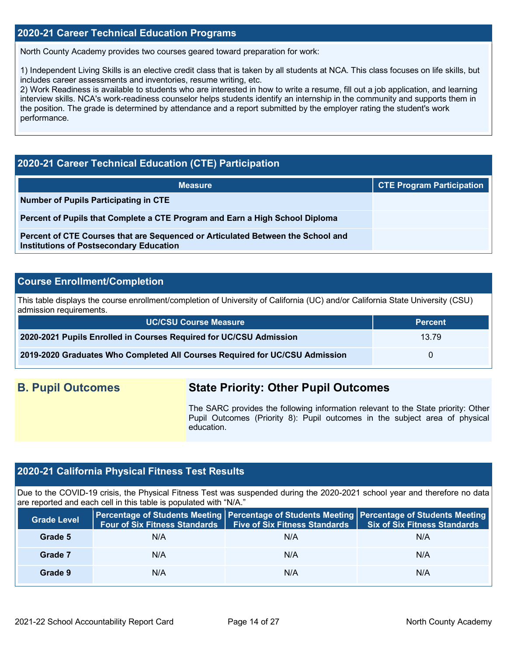### **2020-21 Career Technical Education Programs**

North County Academy provides two courses geared toward preparation for work:

1) Independent Living Skills is an elective credit class that is taken by all students at NCA. This class focuses on life skills, but includes career assessments and inventories, resume writing, etc.

2) Work Readiness is available to students who are interested in how to write a resume, fill out a job application, and learning interview skills. NCA's work-readiness counselor helps students identify an internship in the community and supports them in the position. The grade is determined by attendance and a report submitted by the employer rating the student's work performance.

## **2020-21 Career Technical Education (CTE) Participation**

| <b>Measure</b>                                                                                                                    | <b>CTE Program Participation</b> |
|-----------------------------------------------------------------------------------------------------------------------------------|----------------------------------|
| Number of Pupils Participating in CTE                                                                                             |                                  |
| Percent of Pupils that Complete a CTE Program and Earn a High School Diploma                                                      |                                  |
| Percent of CTE Courses that are Sequenced or Articulated Between the School and<br><b>Institutions of Postsecondary Education</b> |                                  |

## **Course Enrollment/Completion**

This table displays the course enrollment/completion of University of California (UC) and/or California State University (CSU) admission requirements.

| <b>UC/CSU Course Measure</b>                                                | <b>Percent</b> |
|-----------------------------------------------------------------------------|----------------|
| 2020-2021 Pupils Enrolled in Courses Required for UC/CSU Admission          | 13.79          |
| 2019-2020 Graduates Who Completed All Courses Required for UC/CSU Admission |                |

## **B. Pupil Outcomes State Priority: Other Pupil Outcomes**

The SARC provides the following information relevant to the State priority: Other Pupil Outcomes (Priority 8): Pupil outcomes in the subject area of physical education.

## **2020-21 California Physical Fitness Test Results**

Due to the COVID-19 crisis, the Physical Fitness Test was suspended during the 2020-2021 school year and therefore no data are reported and each cell in this table is populated with "N/A."

| <b>Grade Level</b> |     | Four of Six Fitness Standards   Five of Six Fitness Standards | <b>Percentage of Students Meeting Percentage of Students Meeting Percentage of Students Meeting</b><br><b>Six of Six Fitness Standards</b> |
|--------------------|-----|---------------------------------------------------------------|--------------------------------------------------------------------------------------------------------------------------------------------|
| Grade 5            | N/A | N/A                                                           | N/A                                                                                                                                        |
| Grade 7            | N/A | N/A                                                           | N/A                                                                                                                                        |
| Grade 9            | N/A | N/A                                                           | N/A                                                                                                                                        |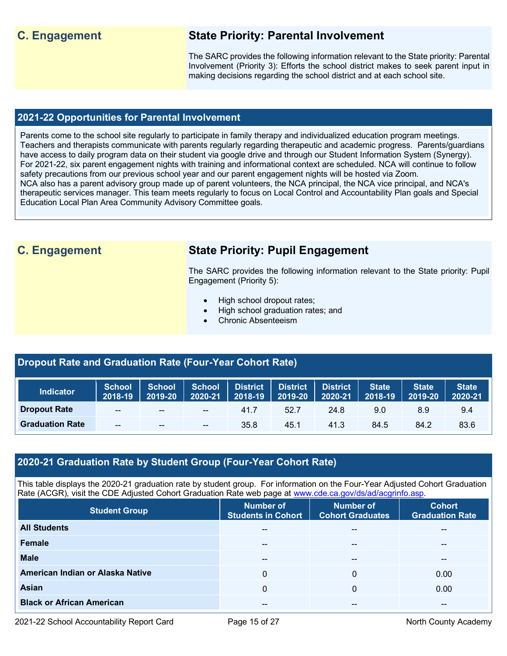## **C. Engagement State Priority: Parental Involvement**

The SARC provides the following information relevant to the State priority: Parental Involvement (Priority 3): Efforts the school district makes to seek parent input in making decisions regarding the school district and at each school site.

## **2021-22 Opportunities for Parental Involvement**

Parents come to the school site regularly to participate in family therapy and individualized education program meetings. Teachers and therapists communicate with parents regularly regarding therapeutic and academic progress. Parents/guardians have access to daily program data on their student via google drive and through our Student Information System (Synergy). For 2021-22, six parent engagement nights with training and informational context are scheduled. NCA will continue to follow safety precautions from our previous school year and our parent engagement nights will be hosted via Zoom. NCA also has a parent advisory group made up of parent volunteers, the NCA principal, the NCA vice principal, and NCA's therapeutic services manager. This team meets regularly to focus on Local Control and Accountability Plan goals and Special Education Local Plan Area Community Advisory Committee goals.

## **C. Engagement State Priority: Pupil Engagement**

The SARC provides the following information relevant to the State priority: Pupil Engagement (Priority 5):

- High school dropout rates;
- High school graduation rates; and
- Chronic Absenteeism

## **Dropout Rate and Graduation Rate (Four-Year Cohort Rate)**

| <b>Indicator</b>       | 2018-19 2019-20 | School School | $2020 - 21$     | $\  2018 - 19 \ $ | $\begin{array}{ c c c c c }\n\hline\n2019-20 & 2020-21 \\ \hline\n\end{array}$ | School District District District | <b>State</b><br>2018-19 | <b>State</b><br>$ 2019-20 $ | State <sup>1</sup><br>2020-21 |
|------------------------|-----------------|---------------|-----------------|-------------------|--------------------------------------------------------------------------------|-----------------------------------|-------------------------|-----------------------------|-------------------------------|
| <b>Dropout Rate</b>    | $\sim$          | $\sim$ $\sim$ | <b>Contract</b> | 41.7              | 52.7                                                                           | 24.8                              | 9.0                     | 8.9                         | 9.4                           |
| <b>Graduation Rate</b> | --              | $- -$         | $- -$           | 35.8              | 45.1                                                                           | 41.3                              | 84.5                    | 84.2                        | 83.6                          |

## **2020-21 Graduation Rate by Student Group (Four-Year Cohort Rate)**

This table displays the 2020-21 graduation rate by student group. For information on the Four-Year Adjusted Cohort Graduation Rate (ACGR), visit the CDE Adjusted Cohort Graduation Rate web page at [www.cde.ca.gov/ds/ad/acgrinfo.asp.](http://www.cde.ca.gov/ds/ad/acgrinfo.asp)

| <b>Student Group</b>             | <b>Number of</b><br><b>Students in Cohort</b> | <b>Number of</b><br><b>Cohort Graduates</b> | <b>Cohort</b><br><b>Graduation Rate</b> |
|----------------------------------|-----------------------------------------------|---------------------------------------------|-----------------------------------------|
| <b>All Students</b>              | --                                            | --                                          | $- -$                                   |
| Female                           | $- -$                                         | --                                          | --                                      |
| <b>Male</b>                      | $\sim$ $\sim$                                 | --                                          | --                                      |
| American Indian or Alaska Native | $\Omega$                                      | 0                                           | 0.00                                    |
| <b>Asian</b>                     | 0                                             | 0                                           | 0.00                                    |
| <b>Black or African American</b> | $- -$                                         | --                                          | $- -$                                   |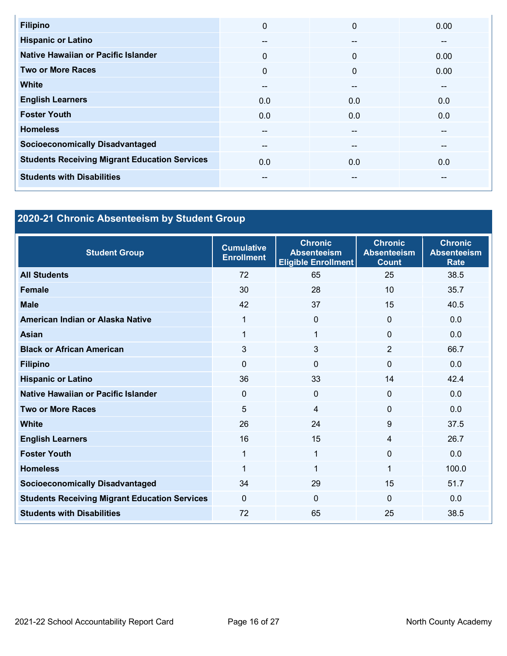| <b>Filipino</b>                                      | $\Omega$ | $\mathbf{0}$ | 0.00  |
|------------------------------------------------------|----------|--------------|-------|
| <b>Hispanic or Latino</b>                            | --       | $- -$        | --    |
| Native Hawaiian or Pacific Islander                  | $\Omega$ | $\Omega$     | 0.00  |
| <b>Two or More Races</b>                             | $\Omega$ | $\mathbf{0}$ | 0.00  |
| <b>White</b>                                         | $- -$    | --           | --    |
| <b>English Learners</b>                              | 0.0      | 0.0          | 0.0   |
| <b>Foster Youth</b>                                  | 0.0      | 0.0          | 0.0   |
| <b>Homeless</b>                                      | $- -$    | $- -$        | $- -$ |
| <b>Socioeconomically Disadvantaged</b>               | $- -$    | $- -$        | --    |
| <b>Students Receiving Migrant Education Services</b> | 0.0      | 0.0          | 0.0   |
| <b>Students with Disabilities</b>                    | --       | --           | --    |

# **2020-21 Chronic Absenteeism by Student Group**

| <b>Student Group</b>                                 | <b>Cumulative</b><br><b>Enrollment</b> | <b>Chronic</b><br><b>Absenteeism</b><br><b>Eligible Enrollment</b> | <b>Chronic</b><br><b>Absenteeism</b><br><b>Count</b> | <b>Chronic</b><br><b>Absenteeism</b><br><b>Rate</b> |
|------------------------------------------------------|----------------------------------------|--------------------------------------------------------------------|------------------------------------------------------|-----------------------------------------------------|
| <b>All Students</b>                                  | 72                                     | 65                                                                 | 25                                                   | 38.5                                                |
| <b>Female</b>                                        | 30                                     | 28                                                                 | 10                                                   | 35.7                                                |
| <b>Male</b>                                          | 42                                     | 37                                                                 | 15                                                   | 40.5                                                |
| American Indian or Alaska Native                     | 1                                      | $\Omega$                                                           | $\Omega$                                             | 0.0                                                 |
| <b>Asian</b>                                         | 1                                      | 1                                                                  | $\Omega$                                             | 0.0                                                 |
| <b>Black or African American</b>                     | 3                                      | 3                                                                  | $\overline{2}$                                       | 66.7                                                |
| <b>Filipino</b>                                      | $\mathbf{0}$                           | $\Omega$                                                           | $\Omega$                                             | 0.0                                                 |
| <b>Hispanic or Latino</b>                            | 36                                     | 33                                                                 | 14                                                   | 42.4                                                |
| Native Hawaiian or Pacific Islander                  | $\mathbf{0}$                           | $\Omega$                                                           | $\Omega$                                             | 0.0                                                 |
| <b>Two or More Races</b>                             | 5                                      | 4                                                                  | $\Omega$                                             | 0.0                                                 |
| <b>White</b>                                         | 26                                     | 24                                                                 | 9                                                    | 37.5                                                |
| <b>English Learners</b>                              | 16                                     | 15                                                                 | $\overline{4}$                                       | 26.7                                                |
| <b>Foster Youth</b>                                  | 1                                      | 1                                                                  | $\Omega$                                             | 0.0                                                 |
| <b>Homeless</b>                                      | 1                                      | 1                                                                  | 1                                                    | 100.0                                               |
| <b>Socioeconomically Disadvantaged</b>               | 34                                     | 29                                                                 | 15                                                   | 51.7                                                |
| <b>Students Receiving Migrant Education Services</b> | $\Omega$                               | $\Omega$                                                           | $\Omega$                                             | 0.0                                                 |
| <b>Students with Disabilities</b>                    | 72                                     | 65                                                                 | 25                                                   | 38.5                                                |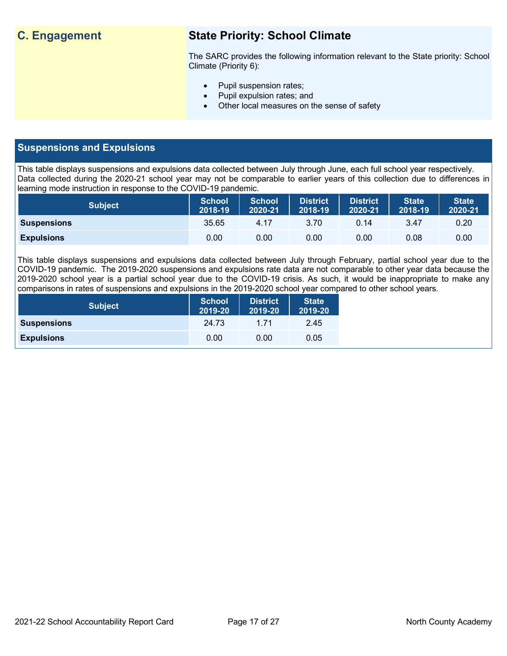## **C. Engagement State Priority: School Climate**

The SARC provides the following information relevant to the State priority: School Climate (Priority 6):

- Pupil suspension rates;
- Pupil expulsion rates; and
- Other local measures on the sense of safety

## **Suspensions and Expulsions**

This table displays suspensions and expulsions data collected between July through June, each full school year respectively. Data collected during the 2020-21 school year may not be comparable to earlier years of this collection due to differences in learning mode instruction in response to the COVID-19 pandemic.

| <b>Subject</b>     | <b>School</b><br>2018-19 | <b>School</b><br>2020-21 | <b>District</b><br>2018-19 | <b>District</b><br>2020-21 | <b>State</b><br>2018-19 | <b>State</b><br>2020-21 |
|--------------------|--------------------------|--------------------------|----------------------------|----------------------------|-------------------------|-------------------------|
| <b>Suspensions</b> | 35.65                    | 4.17                     | 3.70                       | 0.14                       | 3.47                    | 0.20                    |
| <b>Expulsions</b>  | 0.00                     | 0.00                     | 0.00                       | 0.00                       | 0.08                    | 0.00                    |

This table displays suspensions and expulsions data collected between July through February, partial school year due to the COVID-19 pandemic. The 2019-2020 suspensions and expulsions rate data are not comparable to other year data because the 2019-2020 school year is a partial school year due to the COVID-19 crisis. As such, it would be inappropriate to make any comparisons in rates of suspensions and expulsions in the 2019-2020 school year compared to other school years.

| <b>Subject</b>     | <b>School</b><br>2019-20 | <b>District</b><br>2019-20 | <b>State</b><br>2019-20 |
|--------------------|--------------------------|----------------------------|-------------------------|
| <b>Suspensions</b> | 24.73                    | 1 71                       | 2.45                    |
| <b>Expulsions</b>  | 0.00                     | 0.00                       | 0.05                    |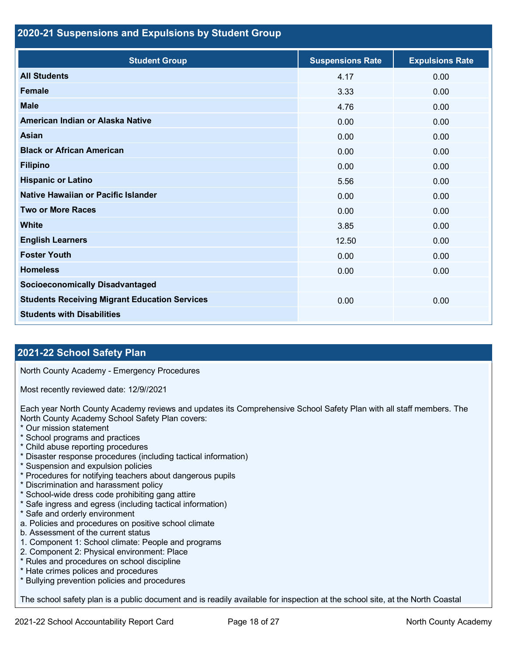### **2020-21 Suspensions and Expulsions by Student Group**

| <b>Student Group</b>                                 | <b>Suspensions Rate</b> | <b>Expulsions Rate</b> |
|------------------------------------------------------|-------------------------|------------------------|
| <b>All Students</b>                                  | 4.17                    | 0.00                   |
| <b>Female</b>                                        | 3.33                    | 0.00                   |
| <b>Male</b>                                          | 4.76                    | 0.00                   |
| American Indian or Alaska Native                     | 0.00                    | 0.00                   |
| <b>Asian</b>                                         | 0.00                    | 0.00                   |
| <b>Black or African American</b>                     | 0.00                    | 0.00                   |
| <b>Filipino</b>                                      | 0.00                    | 0.00                   |
| <b>Hispanic or Latino</b>                            | 5.56                    | 0.00                   |
| Native Hawaiian or Pacific Islander                  | 0.00                    | 0.00                   |
| <b>Two or More Races</b>                             | 0.00                    | 0.00                   |
| <b>White</b>                                         | 3.85                    | 0.00                   |
| <b>English Learners</b>                              | 12.50                   | 0.00                   |
| <b>Foster Youth</b>                                  | 0.00                    | 0.00                   |
| <b>Homeless</b>                                      | 0.00                    | 0.00                   |
| <b>Socioeconomically Disadvantaged</b>               |                         |                        |
| <b>Students Receiving Migrant Education Services</b> | 0.00                    | 0.00                   |
| <b>Students with Disabilities</b>                    |                         |                        |

## **2021-22 School Safety Plan**

North County Academy - Emergency Procedures

Most recently reviewed date: 12/9//2021

Each year North County Academy reviews and updates its Comprehensive School Safety Plan with all staff members. The North County Academy School Safety Plan covers:

- \* Our mission statement
- \* School programs and practices
- \* Child abuse reporting procedures
- \* Disaster response procedures (including tactical information)
- \* Suspension and expulsion policies
- \* Procedures for notifying teachers about dangerous pupils
- \* Discrimination and harassment policy
- \* School-wide dress code prohibiting gang attire
- \* Safe ingress and egress (including tactical information)
- \* Safe and orderly environment
- a. Policies and procedures on positive school climate
- b. Assessment of the current status
- 1. Component 1: School climate: People and programs
- 2. Component 2: Physical environment: Place
- \* Rules and procedures on school discipline
- \* Hate crimes polices and procedures
- \* Bullying prevention policies and procedures

The school safety plan is a public document and is readily available for inspection at the school site, at the North Coastal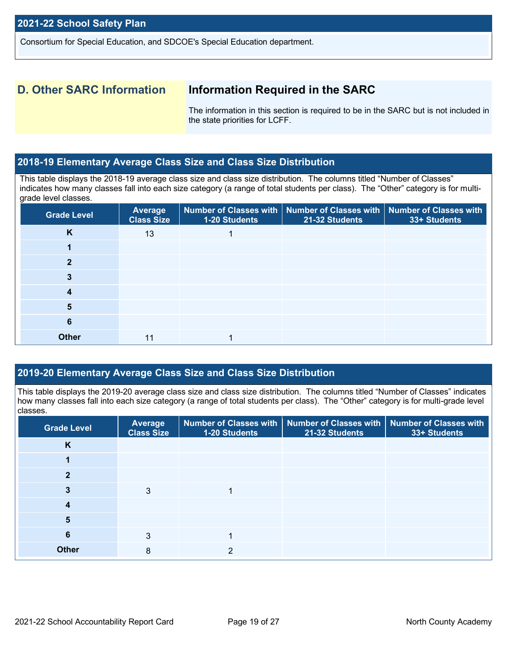Consortium for Special Education, and SDCOE's Special Education department.

## **D. Other SARC Information Information Required in the SARC**

The information in this section is required to be in the SARC but is not included in the state priorities for LCFF.

#### **2018-19 Elementary Average Class Size and Class Size Distribution**

This table displays the 2018-19 average class size and class size distribution. The columns titled "Number of Classes" indicates how many classes fall into each size category (a range of total students per class). The "Other" category is for multigrade level classes.

| <b>Grade Level</b> | Average<br><b>Class Size</b> | $\mid$ Number of Classes with $\mid$ Number of Classes with $\mid$ Number of Classes with<br>1-20 Students | 21-32 Students | 33+ Students |
|--------------------|------------------------------|------------------------------------------------------------------------------------------------------------|----------------|--------------|
| K                  | 13                           |                                                                                                            |                |              |
|                    |                              |                                                                                                            |                |              |
|                    |                              |                                                                                                            |                |              |
|                    |                              |                                                                                                            |                |              |
| 4                  |                              |                                                                                                            |                |              |
| 5                  |                              |                                                                                                            |                |              |
| 6                  |                              |                                                                                                            |                |              |
| <b>Other</b>       |                              |                                                                                                            |                |              |

## **2019-20 Elementary Average Class Size and Class Size Distribution**

This table displays the 2019-20 average class size and class size distribution. The columns titled "Number of Classes" indicates how many classes fall into each size category (a range of total students per class). The "Other" category is for multi-grade level classes.

| <b>Grade Level</b> | Average<br><b>Class Size</b> | 1-20 Students | Number of Classes with   Number of Classes with   Number of Classes with<br>21-32 Students | 33+ Students |
|--------------------|------------------------------|---------------|--------------------------------------------------------------------------------------------|--------------|
| K                  |                              |               |                                                                                            |              |
|                    |                              |               |                                                                                            |              |
|                    |                              |               |                                                                                            |              |
|                    | 3                            |               |                                                                                            |              |
|                    |                              |               |                                                                                            |              |
| 5                  |                              |               |                                                                                            |              |
| 6                  | 3                            |               |                                                                                            |              |
| <b>Other</b>       | 8                            |               |                                                                                            |              |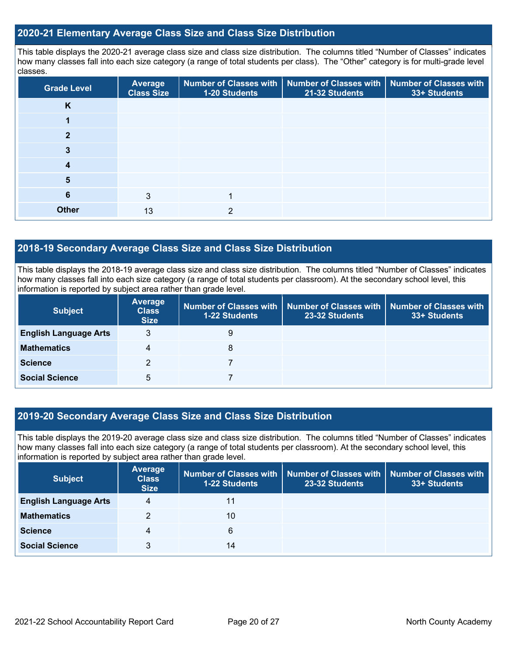### **2020-21 Elementary Average Class Size and Class Size Distribution**

This table displays the 2020-21 average class size and class size distribution. The columns titled "Number of Classes" indicates how many classes fall into each size category (a range of total students per class). The "Other" category is for multi-grade level classes.

| <b>Grade Level</b> | <b>Average</b><br><b>Class Size</b> | 1-20 Students | Number of Classes with   Number of Classes with  <br>21-32 Students | <b>Number of Classes with</b><br>33+ Students |
|--------------------|-------------------------------------|---------------|---------------------------------------------------------------------|-----------------------------------------------|
| K                  |                                     |               |                                                                     |                                               |
|                    |                                     |               |                                                                     |                                               |
| 2                  |                                     |               |                                                                     |                                               |
| 3                  |                                     |               |                                                                     |                                               |
| 4                  |                                     |               |                                                                     |                                               |
| 5                  |                                     |               |                                                                     |                                               |
| 6                  | 3                                   |               |                                                                     |                                               |
| <b>Other</b>       | 13                                  | っ             |                                                                     |                                               |

## **2018-19 Secondary Average Class Size and Class Size Distribution**

This table displays the 2018-19 average class size and class size distribution. The columns titled "Number of Classes" indicates how many classes fall into each size category (a range of total students per classroom). At the secondary school level, this information is reported by subject area rather than grade level.

| <b>Subject</b>               | <b>Average</b><br><b>Class</b><br><b>Size</b> | <b>1-22 Students</b> | Number of Classes with   Number of Classes with  <br>23-32 Students | <b>Number of Classes with</b><br>33+ Students |
|------------------------------|-----------------------------------------------|----------------------|---------------------------------------------------------------------|-----------------------------------------------|
| <b>English Language Arts</b> | 3                                             | 9                    |                                                                     |                                               |
| <b>Mathematics</b>           | 4                                             | 8                    |                                                                     |                                               |
| <b>Science</b>               | 2                                             |                      |                                                                     |                                               |
| <b>Social Science</b>        | 5                                             |                      |                                                                     |                                               |

## **2019-20 Secondary Average Class Size and Class Size Distribution**

This table displays the 2019-20 average class size and class size distribution. The columns titled "Number of Classes" indicates how many classes fall into each size category (a range of total students per classroom). At the secondary school level, this information is reported by subject area rather than grade level.

| <b>Subject</b>               | Average<br><b>Class</b><br><b>Size</b> | 1-22 Students | Number of Classes with   Number of Classes with<br>23-32 Students | Number of Classes with<br>33+ Students |
|------------------------------|----------------------------------------|---------------|-------------------------------------------------------------------|----------------------------------------|
| <b>English Language Arts</b> | 4                                      | 11            |                                                                   |                                        |
| <b>Mathematics</b>           | 2                                      | 10            |                                                                   |                                        |
| <b>Science</b>               | 4                                      | 6             |                                                                   |                                        |
| <b>Social Science</b>        | 3                                      | 14            |                                                                   |                                        |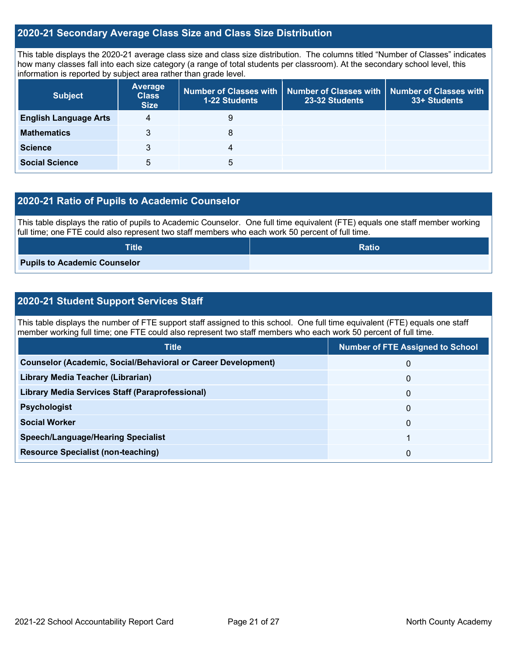### **2020-21 Secondary Average Class Size and Class Size Distribution**

This table displays the 2020-21 average class size and class size distribution. The columns titled "Number of Classes" indicates how many classes fall into each size category (a range of total students per classroom). At the secondary school level, this information is reported by subject area rather than grade level.

| <b>Subject</b>               | <b>Average</b><br><b>Class</b><br><b>Size</b> | <b>1-22 Students</b> | Number of Classes with Number of Classes with<br>23-32 Students | <b>Number of Classes with</b><br>33+ Students |
|------------------------------|-----------------------------------------------|----------------------|-----------------------------------------------------------------|-----------------------------------------------|
| <b>English Language Arts</b> | 4                                             | 9                    |                                                                 |                                               |
| <b>Mathematics</b>           | 3                                             | 8                    |                                                                 |                                               |
| <b>Science</b>               | 3                                             | 4                    |                                                                 |                                               |
| <b>Social Science</b>        | 5                                             | 5                    |                                                                 |                                               |

## **2020-21 Ratio of Pupils to Academic Counselor**

This table displays the ratio of pupils to Academic Counselor. One full time equivalent (FTE) equals one staff member working full time; one FTE could also represent two staff members who each work 50 percent of full time.

| <b>Title</b>                        | <b>Ratio</b> |
|-------------------------------------|--------------|
| <b>Pupils to Academic Counselor</b> |              |

## **2020-21 Student Support Services Staff**

This table displays the number of FTE support staff assigned to this school. One full time equivalent (FTE) equals one staff member working full time; one FTE could also represent two staff members who each work 50 percent of full time.

| <b>Title</b>                                                         | <b>Number of FTE Assigned to School</b> |
|----------------------------------------------------------------------|-----------------------------------------|
| <b>Counselor (Academic, Social/Behavioral or Career Development)</b> | 0                                       |
| Library Media Teacher (Librarian)                                    | 0                                       |
| <b>Library Media Services Staff (Paraprofessional)</b>               | 0                                       |
| <b>Psychologist</b>                                                  | $\Omega$                                |
| <b>Social Worker</b>                                                 | 0                                       |
| <b>Speech/Language/Hearing Specialist</b>                            |                                         |
| <b>Resource Specialist (non-teaching)</b>                            | 0                                       |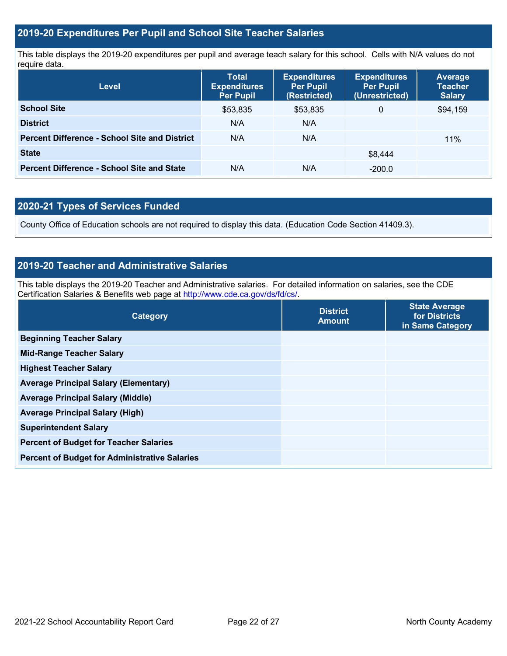## **2019-20 Expenditures Per Pupil and School Site Teacher Salaries**

This table displays the 2019-20 expenditures per pupil and average teach salary for this school. Cells with N/A values do not require data.

| <b>Level</b>                                         | <b>Total</b><br><b>Expenditures</b><br><b>Per Pupil</b> | <b>Expenditures</b><br><b>Per Pupil</b><br>(Restricted) | <b>Expenditures</b><br><b>Per Pupil</b><br>(Unrestricted) | Average<br><b>Teacher</b><br><b>Salary</b> |
|------------------------------------------------------|---------------------------------------------------------|---------------------------------------------------------|-----------------------------------------------------------|--------------------------------------------|
| <b>School Site</b>                                   | \$53,835                                                | \$53,835                                                | 0                                                         | \$94,159                                   |
| <b>District</b>                                      | N/A                                                     | N/A                                                     |                                                           |                                            |
| <b>Percent Difference - School Site and District</b> | N/A                                                     | N/A                                                     |                                                           | 11%                                        |
| <b>State</b>                                         |                                                         |                                                         | \$8.444                                                   |                                            |
| <b>Percent Difference - School Site and State</b>    | N/A                                                     | N/A                                                     | $-200.0$                                                  |                                            |

## **2020-21 Types of Services Funded**

County Office of Education schools are not required to display this data. (Education Code Section 41409.3).

## **2019-20 Teacher and Administrative Salaries**

This table displays the 2019-20 Teacher and Administrative salaries. For detailed information on salaries, see the CDE Certification Salaries & Benefits web page at [http://www.cde.ca.gov/ds/fd/cs/.](http://www.cde.ca.gov/ds/fd/cs/)

| Category                                             | <b>District</b><br><b>Amount</b> | <b>State Average</b><br>for Districts<br>in Same Category |
|------------------------------------------------------|----------------------------------|-----------------------------------------------------------|
| <b>Beginning Teacher Salary</b>                      |                                  |                                                           |
| <b>Mid-Range Teacher Salary</b>                      |                                  |                                                           |
| <b>Highest Teacher Salary</b>                        |                                  |                                                           |
| <b>Average Principal Salary (Elementary)</b>         |                                  |                                                           |
| <b>Average Principal Salary (Middle)</b>             |                                  |                                                           |
| <b>Average Principal Salary (High)</b>               |                                  |                                                           |
| <b>Superintendent Salary</b>                         |                                  |                                                           |
| <b>Percent of Budget for Teacher Salaries</b>        |                                  |                                                           |
| <b>Percent of Budget for Administrative Salaries</b> |                                  |                                                           |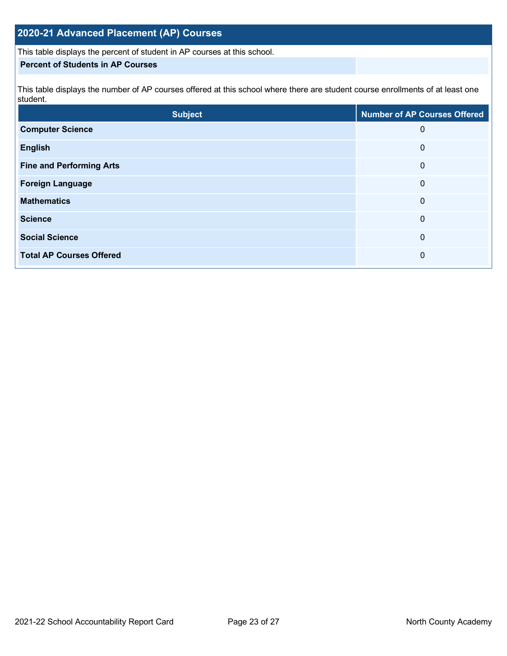## **2020-21 Advanced Placement (AP) Courses**

This table displays the percent of student in AP courses at this school.

### **Percent of Students in AP Courses**

This table displays the number of AP courses offered at this school where there are student course enrollments of at least one student.

| <b>Subject</b>                  | <b>Number of AP Courses Offered</b> |
|---------------------------------|-------------------------------------|
| <b>Computer Science</b>         | 0                                   |
| <b>English</b>                  | 0                                   |
| <b>Fine and Performing Arts</b> | 0                                   |
| <b>Foreign Language</b>         | 0                                   |
| <b>Mathematics</b>              | 0                                   |
| <b>Science</b>                  | 0                                   |
| <b>Social Science</b>           | 0                                   |
| <b>Total AP Courses Offered</b> | 0                                   |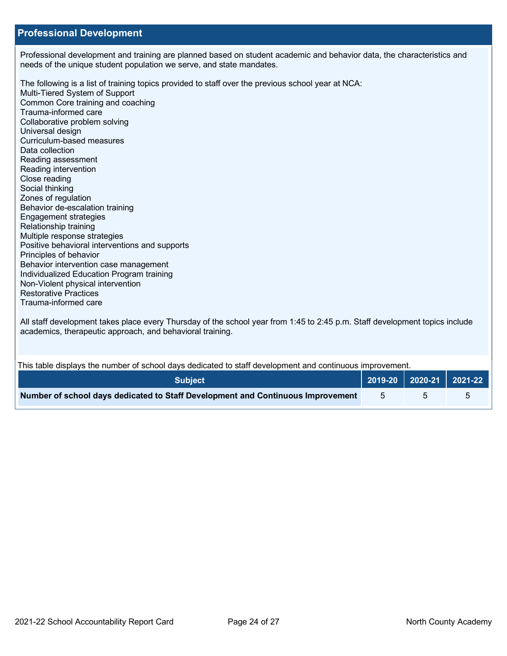### **Professional Development**

Professional development and training are planned based on student academic and behavior data, the characteristics and needs of the unique student population we serve, and state mandates.

The following is a list of training topics provided to staff over the previous school year at NCA: Multi-Tiered System of Support Common Core training and coaching Trauma-informed care Collaborative problem solving Universal design Curriculum-based measures Data collection Reading assessment Reading intervention Close reading Social thinking Zones of regulation Behavior de-escalation training Engagement strategies Relationship training Multiple response strategies Positive behavioral interventions and supports Principles of behavior Behavior intervention case management Individualized Education Program training Non-Violent physical intervention Restorative Practices Trauma-informed care

All staff development takes place every Thursday of the school year from 1:45 to 2:45 p.m. Staff development topics include academics, therapeutic approach, and behavioral training.

This table displays the number of school days dedicated to staff development and continuous improvement.

| <b>Subject</b>                                                                  |  | $\vert$ 2019-20 $\vert$ 2020-21 $\vert$ 2021-22 $\vert$ |
|---------------------------------------------------------------------------------|--|---------------------------------------------------------|
| Number of school days dedicated to Staff Development and Continuous Improvement |  |                                                         |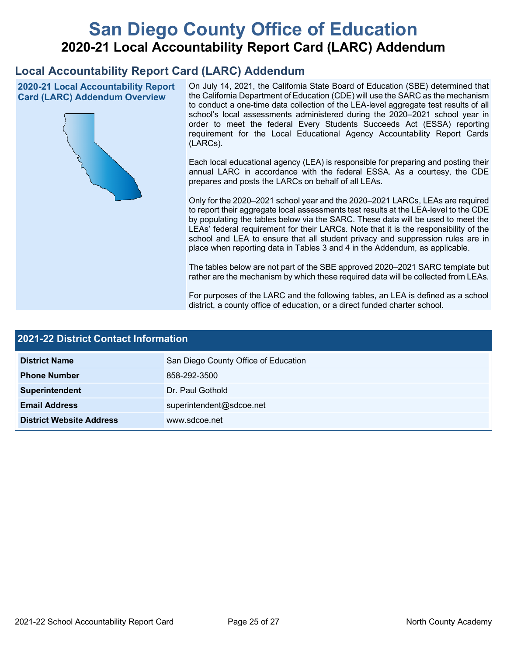# **San Diego County Office of Education 2020-21 Local Accountability Report Card (LARC) Addendum**

## **Local Accountability Report Card (LARC) Addendum**

**2020-21 Local Accountability Report Card (LARC) Addendum Overview**



On July 14, 2021, the California State Board of Education (SBE) determined that the California Department of Education (CDE) will use the SARC as the mechanism to conduct a one-time data collection of the LEA-level aggregate test results of all school's local assessments administered during the 2020–2021 school year in order to meet the federal Every Students Succeeds Act (ESSA) reporting requirement for the Local Educational Agency Accountability Report Cards (LARCs).

Each local educational agency (LEA) is responsible for preparing and posting their annual LARC in accordance with the federal ESSA. As a courtesy, the CDE prepares and posts the LARCs on behalf of all LEAs.

Only for the 2020–2021 school year and the 2020–2021 LARCs, LEAs are required to report their aggregate local assessments test results at the LEA-level to the CDE by populating the tables below via the SARC. These data will be used to meet the LEAs' federal requirement for their LARCs. Note that it is the responsibility of the school and LEA to ensure that all student privacy and suppression rules are in place when reporting data in Tables 3 and 4 in the Addendum, as applicable.

The tables below are not part of the SBE approved 2020–2021 SARC template but rather are the mechanism by which these required data will be collected from LEAs.

For purposes of the LARC and the following tables, an LEA is defined as a school district, a county office of education, or a direct funded charter school.

| 2021-22 District Contact Information |                                      |  |  |  |
|--------------------------------------|--------------------------------------|--|--|--|
| <b>District Name</b>                 | San Diego County Office of Education |  |  |  |
| <b>Phone Number</b>                  | 858-292-3500                         |  |  |  |
| Superintendent                       | Dr. Paul Gothold                     |  |  |  |
| <b>Email Address</b>                 | superintendent@sdcoe.net             |  |  |  |
| <b>District Website Address</b>      | www.sdcoe.net                        |  |  |  |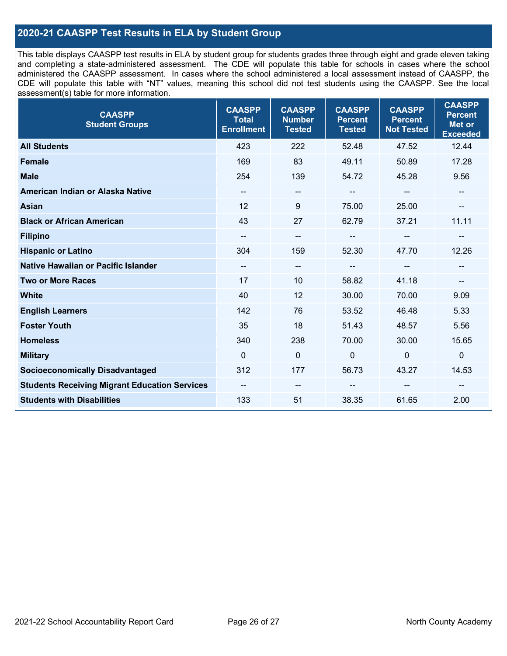## **2020-21 CAASPP Test Results in ELA by Student Group**

This table displays CAASPP test results in ELA by student group for students grades three through eight and grade eleven taking and completing a state-administered assessment. The CDE will populate this table for schools in cases where the school administered the CAASPP assessment. In cases where the school administered a local assessment instead of CAASPP, the CDE will populate this table with "NT" values, meaning this school did not test students using the CAASPP. See the local assessment(s) table for more information.

| <b>CAASPP</b><br><b>Student Groups</b>               | <b>CAASPP</b><br><b>Total</b><br><b>Enrollment</b> | <b>CAASPP</b><br><b>Number</b><br><b>Tested</b> | <b>CAASPP</b><br><b>Percent</b><br><b>Tested</b> | <b>CAASPP</b><br><b>Percent</b><br><b>Not Tested</b> | <b>CAASPP</b><br><b>Percent</b><br><b>Met or</b><br><b>Exceeded</b> |
|------------------------------------------------------|----------------------------------------------------|-------------------------------------------------|--------------------------------------------------|------------------------------------------------------|---------------------------------------------------------------------|
| <b>All Students</b>                                  | 423                                                | 222                                             | 52.48                                            | 47.52                                                | 12.44                                                               |
| <b>Female</b>                                        | 169                                                | 83                                              | 49.11                                            | 50.89                                                | 17.28                                                               |
| <b>Male</b>                                          | 254                                                | 139                                             | 54.72                                            | 45.28                                                | 9.56                                                                |
| American Indian or Alaska Native                     | --                                                 | $\overline{\phantom{a}}$                        | --                                               | $\overline{\phantom{a}}$                             | --                                                                  |
| <b>Asian</b>                                         | 12                                                 | 9                                               | 75.00                                            | 25.00                                                |                                                                     |
| <b>Black or African American</b>                     | 43                                                 | 27                                              | 62.79                                            | 37.21                                                | 11.11                                                               |
| <b>Filipino</b>                                      |                                                    | $\overline{\phantom{a}}$                        |                                                  | $\mathbf{u}$                                         |                                                                     |
| <b>Hispanic or Latino</b>                            | 304                                                | 159                                             | 52.30                                            | 47.70                                                | 12.26                                                               |
| Native Hawaiian or Pacific Islander                  | $\overline{\phantom{a}}$                           | $\overline{\phantom{a}}$                        | $\qquad \qquad \blacksquare$                     | $\overline{\phantom{a}}$                             | --                                                                  |
| <b>Two or More Races</b>                             | 17                                                 | 10                                              | 58.82                                            | 41.18                                                | --                                                                  |
| <b>White</b>                                         | 40                                                 | 12                                              | 30.00                                            | 70.00                                                | 9.09                                                                |
| <b>English Learners</b>                              | 142                                                | 76                                              | 53.52                                            | 46.48                                                | 5.33                                                                |
| <b>Foster Youth</b>                                  | 35                                                 | 18                                              | 51.43                                            | 48.57                                                | 5.56                                                                |
| <b>Homeless</b>                                      | 340                                                | 238                                             | 70.00                                            | 30.00                                                | 15.65                                                               |
| <b>Military</b>                                      | $\Omega$                                           | $\mathbf 0$                                     | $\mathbf 0$                                      | $\mathbf 0$                                          | $\mathbf 0$                                                         |
| <b>Socioeconomically Disadvantaged</b>               | 312                                                | 177                                             | 56.73                                            | 43.27                                                | 14.53                                                               |
| <b>Students Receiving Migrant Education Services</b> | $\overline{\phantom{a}}$                           | $\overline{\phantom{a}}$                        | --                                               |                                                      |                                                                     |
| <b>Students with Disabilities</b>                    | 133                                                | 51                                              | 38.35                                            | 61.65                                                | 2.00                                                                |